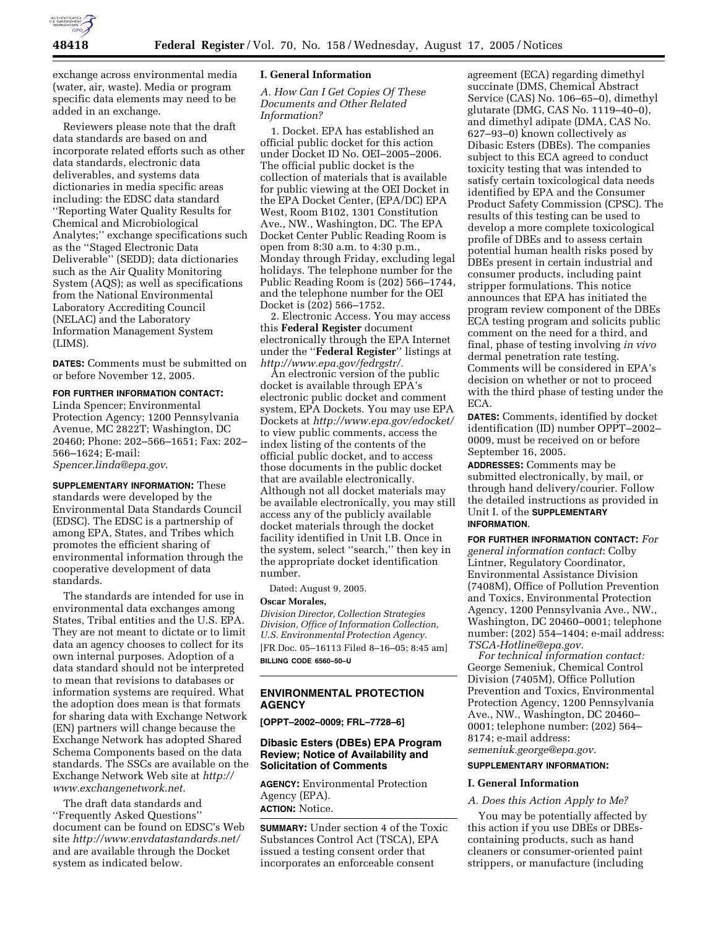

exchange across environmental media (water, air, waste). Media or program specific data elements may need to be added in an exchange.

Reviewers please note that the draft data standards are based on and incorporate related efforts such as other data standards, electronic data deliverables, and systems data dictionaries in media specific areas including: the EDSC data standard ''Reporting Water Quality Results for Chemical and Microbiological Analytes;'' exchange specifications such as the ''Staged Electronic Data Deliverable'' (SEDD); data dictionaries such as the Air Quality Monitoring System (AQS); as well as specifications from the National Environmental Laboratory Accrediting Council (NELAC) and the Laboratory Information Management System (LIMS).

**DATES:** Comments must be submitted on or before November 12, 2005.

## **FOR FURTHER INFORMATION CONTACT:**

Linda Spencer; Environmental Protection Agency; 1200 Pennsylvania Avenue, MC 2822T; Washington, DC 20460; Phone: 202–566–1651; Fax: 202– 566–1624; E-mail: *Spencer.linda@epa.gov*.

**SUPPLEMENTARY INFORMATION:** These standards were developed by the Environmental Data Standards Council (EDSC). The EDSC is a partnership of among EPA, States, and Tribes which promotes the efficient sharing of environmental information through the cooperative development of data standards.

The standards are intended for use in environmental data exchanges among States, Tribal entities and the U.S. EPA. They are not meant to dictate or to limit data an agency chooses to collect for its own internal purposes. Adoption of a data standard should not be interpreted to mean that revisions to databases or information systems are required. What the adoption does mean is that formats for sharing data with Exchange Network (EN) partners will change because the Exchange Network has adopted Shared Schema Components based on the data standards. The SSCs are available on the Exchange Network Web site at *http:// www.exchangenetwork.net.*

The draft data standards and ''Frequently Asked Questions'' document can be found on EDSC's Web site *http://www.envdatastandards.net/* and are available through the Docket system as indicated below.

#### **I. General Information**

### *A. How Can I Get Copies Of These Documents and Other Related Information?*

1. Docket. EPA has established an official public docket for this action under Docket ID No. OEI–2005–2006. The official public docket is the collection of materials that is available for public viewing at the OEI Docket in the EPA Docket Center, (EPA/DC) EPA West, Room B102, 1301 Constitution Ave., NW., Washington, DC. The EPA Docket Center Public Reading Room is open from 8:30 a.m. to 4:30 p.m., Monday through Friday, excluding legal holidays. The telephone number for the Public Reading Room is (202) 566–1744, and the telephone number for the OEI Docket is (202) 566–1752.

2. Electronic Access. You may access this **Federal Register** document electronically through the EPA Internet under the ''**Federal Register**'' listings at *http://www.epa.gov/fedrgstr/.*

An electronic version of the public docket is available through EPA's electronic public docket and comment system, EPA Dockets. You may use EPA Dockets at *http://www.epa.gov/edocket/* to view public comments, access the index listing of the contents of the official public docket, and to access those documents in the public docket that are available electronically. Although not all docket materials may be available electronically, you may still access any of the publicly available docket materials through the docket facility identified in Unit I.B. Once in the system, select ''search,'' then key in the appropriate docket identification number.

Dated: August 9, 2005.

## **Oscar Morales,**

*Division Director, Collection Strategies Division, Office of Information Collection, U.S. Environmental Protection Agency.* [FR Doc. 05–16113 Filed 8–16–05; 8:45 am] **BILLING CODE 6560–50–U**

# **ENVIRONMENTAL PROTECTION AGENCY**

**[OPPT–2002–0009; FRL–7728–6]**

## **Dibasic Esters (DBEs) EPA Program Review; Notice of Availability and Solicitation of Comments**

**AGENCY:** Environmental Protection Agency (EPA). **ACTION:** Notice.

**SUMMARY:** Under section 4 of the Toxic Substances Control Act (TSCA), EPA issued a testing consent order that incorporates an enforceable consent

agreement (ECA) regarding dimethyl succinate (DMS, Chemical Abstract Service (CAS) No. 106–65–0), dimethyl glutarate (DMG, CAS No. 1119–40–0), and dimethyl adipate (DMA, CAS No. 627–93–0) known collectively as Dibasic Esters (DBEs). The companies subject to this ECA agreed to conduct toxicity testing that was intended to satisfy certain toxicological data needs identified by EPA and the Consumer Product Safety Commission (CPSC). The results of this testing can be used to develop a more complete toxicological profile of DBEs and to assess certain potential human health risks posed by DBEs present in certain industrial and consumer products, including paint stripper formulations. This notice announces that EPA has initiated the program review component of the DBEs ECA testing program and solicits public comment on the need for a third, and final, phase of testing involving *in vivo* dermal penetration rate testing. Comments will be considered in EPA's decision on whether or not to proceed with the third phase of testing under the ECA.

**DATES:** Comments, identified by docket identification (ID) number OPPT–2002– 0009, must be received on or before September 16, 2005.

**ADDRESSES:** Comments may be submitted electronically, by mail, or through hand delivery/courier. Follow the detailed instructions as provided in Unit I. of the **SUPPLEMENTARY INFORMATION**.

**FOR FURTHER INFORMATION CONTACT:** *For general information contact*: Colby Lintner, Regulatory Coordinator, Environmental Assistance Division (7408M), Office of Pollution Prevention and Toxics, Environmental Protection Agency, 1200 Pennsylvania Ave., NW., Washington, DC 20460–0001; telephone number: (202) 554–1404; e-mail address: *TSCA-Hotline@epa.gov*.

*For technical information contact:* George Semeniuk, Chemical Control Division (7405M), Office Pollution Prevention and Toxics, Environmental Protection Agency, 1200 Pennsylvania Ave., NW., Washington, DC 20460– 0001; telephone number: (202) 564– 8174; e-mail address: *semeniuk.george@epa.gov*.

#### **SUPPLEMENTARY INFORMATION:**

#### **I. General Information**

#### *A. Does this Action Apply to Me?*

You may be potentially affected by this action if you use DBEs or DBEscontaining products, such as hand cleaners or consumer-oriented paint strippers, or manufacture (including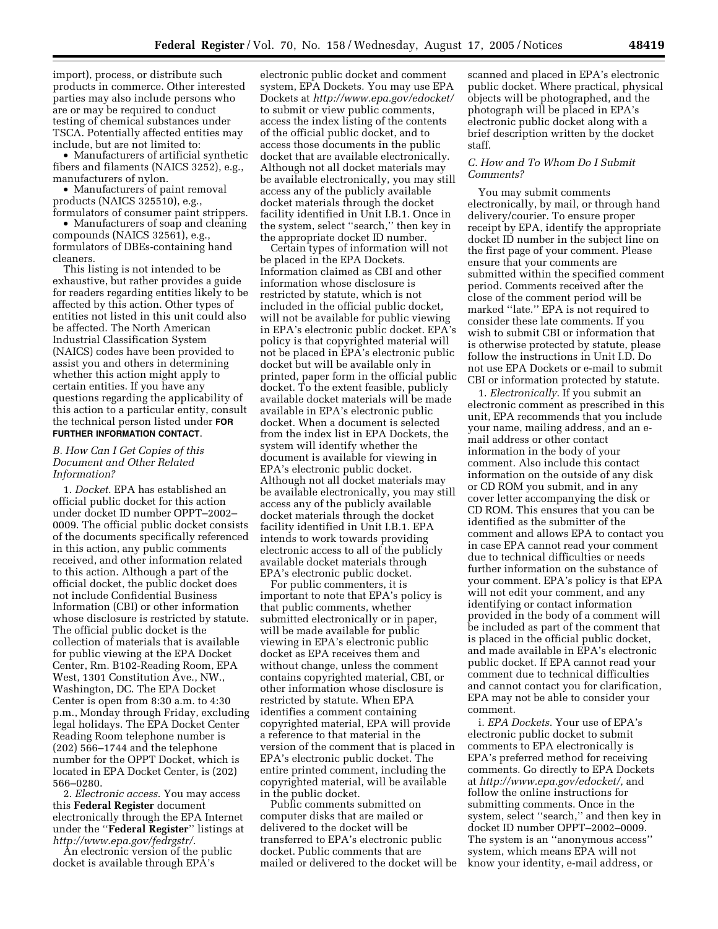import), process, or distribute such products in commerce. Other interested parties may also include persons who are or may be required to conduct testing of chemical substances under TSCA. Potentially affected entities may include, but are not limited to:

• Manufacturers of artificial synthetic fibers and filaments (NAICS 3252), e.g., manufacturers of nylon.

• Manufacturers of paint removal products (NAICS 325510), e.g., formulators of consumer paint strippers.

• Manufacturers of soap and cleaning compounds (NAICS 32561), e.g., formulators of DBEs-containing hand cleaners.

This listing is not intended to be exhaustive, but rather provides a guide for readers regarding entities likely to be affected by this action. Other types of entities not listed in this unit could also be affected. The North American Industrial Classification System (NAICS) codes have been provided to assist you and others in determining whether this action might apply to certain entities. If you have any questions regarding the applicability of this action to a particular entity, consult the technical person listed under **FOR FURTHER INFORMATION CONTACT**.

## *B. How Can I Get Copies of this Document and Other Related Information?*

1. *Docket*. EPA has established an official public docket for this action under docket ID number OPPT–2002– 0009. The official public docket consists of the documents specifically referenced in this action, any public comments received, and other information related to this action. Although a part of the official docket, the public docket does not include Confidential Business Information (CBI) or other information whose disclosure is restricted by statute. The official public docket is the collection of materials that is available for public viewing at the EPA Docket Center, Rm. B102-Reading Room, EPA West, 1301 Constitution Ave., NW., Washington, DC. The EPA Docket Center is open from 8:30 a.m. to 4:30 p.m., Monday through Friday, excluding legal holidays. The EPA Docket Center Reading Room telephone number is (202) 566–1744 and the telephone number for the OPPT Docket, which is located in EPA Docket Center, is (202) 566–0280.

2. *Electronic access*. You may access this **Federal Register** document electronically through the EPA Internet under the ''**Federal Register**'' listings at *http://www.epa.gov/fedrgstr/*.

An electronic version of the public docket is available through EPA's

electronic public docket and comment system, EPA Dockets. You may use EPA Dockets at *http://www.epa.gov/edocket/* to submit or view public comments, access the index listing of the contents of the official public docket, and to access those documents in the public docket that are available electronically. Although not all docket materials may be available electronically, you may still access any of the publicly available docket materials through the docket facility identified in Unit I.B.1. Once in the system, select ''search,'' then key in the appropriate docket ID number.

Certain types of information will not be placed in the EPA Dockets. Information claimed as CBI and other information whose disclosure is restricted by statute, which is not included in the official public docket, will not be available for public viewing in EPA's electronic public docket. EPA's policy is that copyrighted material will not be placed in EPA's electronic public docket but will be available only in printed, paper form in the official public docket. To the extent feasible, publicly available docket materials will be made available in EPA's electronic public docket. When a document is selected from the index list in EPA Dockets, the system will identify whether the document is available for viewing in EPA's electronic public docket. Although not all docket materials may be available electronically, you may still access any of the publicly available docket materials through the docket facility identified in Unit I.B.1. EPA intends to work towards providing electronic access to all of the publicly available docket materials through EPA's electronic public docket.

For public commenters, it is important to note that EPA's policy is that public comments, whether submitted electronically or in paper, will be made available for public viewing in EPA's electronic public docket as EPA receives them and without change, unless the comment contains copyrighted material, CBI, or other information whose disclosure is restricted by statute. When EPA identifies a comment containing copyrighted material, EPA will provide a reference to that material in the version of the comment that is placed in EPA's electronic public docket. The entire printed comment, including the copyrighted material, will be available in the public docket.

Public comments submitted on computer disks that are mailed or delivered to the docket will be transferred to EPA's electronic public docket. Public comments that are mailed or delivered to the docket will be

scanned and placed in EPA's electronic public docket. Where practical, physical objects will be photographed, and the photograph will be placed in EPA's electronic public docket along with a brief description written by the docket staff.

# *C. How and To Whom Do I Submit Comments?*

You may submit comments electronically, by mail, or through hand delivery/courier. To ensure proper receipt by EPA, identify the appropriate docket ID number in the subject line on the first page of your comment. Please ensure that your comments are submitted within the specified comment period. Comments received after the close of the comment period will be marked ''late.'' EPA is not required to consider these late comments. If you wish to submit CBI or information that is otherwise protected by statute, please follow the instructions in Unit I.D. Do not use EPA Dockets or e-mail to submit CBI or information protected by statute.

1. *Electronically*. If you submit an electronic comment as prescribed in this unit, EPA recommends that you include your name, mailing address, and an email address or other contact information in the body of your comment. Also include this contact information on the outside of any disk or CD ROM you submit, and in any cover letter accompanying the disk or CD ROM. This ensures that you can be identified as the submitter of the comment and allows EPA to contact you in case EPA cannot read your comment due to technical difficulties or needs further information on the substance of your comment. EPA's policy is that EPA will not edit your comment, and any identifying or contact information provided in the body of a comment will be included as part of the comment that is placed in the official public docket, and made available in EPA's electronic public docket. If EPA cannot read your comment due to technical difficulties and cannot contact you for clarification, EPA may not be able to consider your comment.

i. *EPA Dockets*. Your use of EPA's electronic public docket to submit comments to EPA electronically is EPA's preferred method for receiving comments. Go directly to EPA Dockets at *http://www.epa.gov/edocket/,* and follow the online instructions for submitting comments. Once in the system, select ''search,'' and then key in docket ID number OPPT–2002–0009. The system is an ''anonymous access'' system, which means EPA will not know your identity, e-mail address, or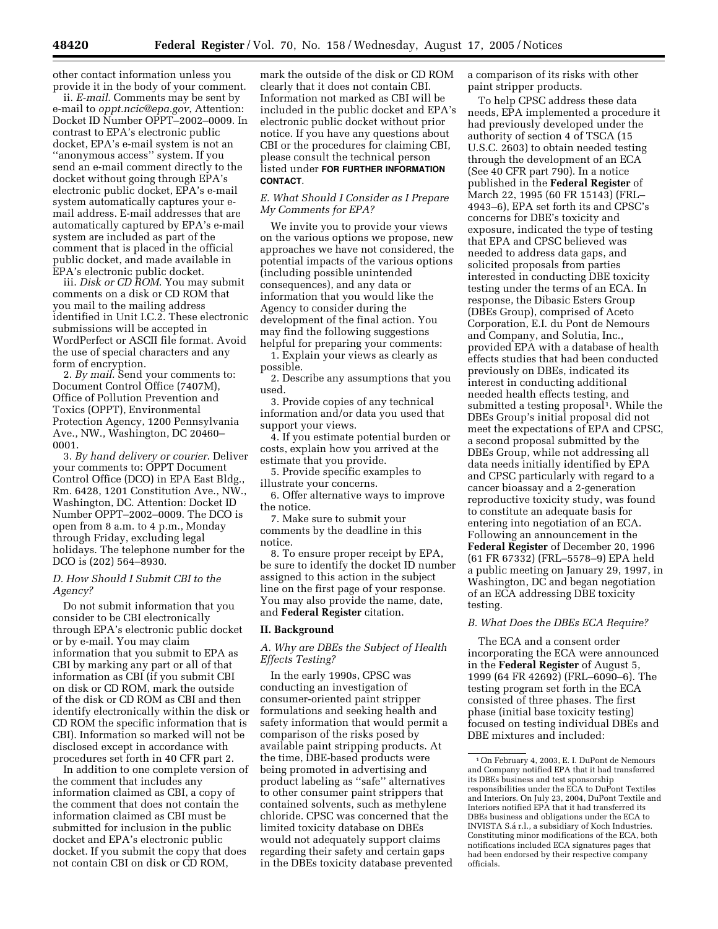other contact information unless you provide it in the body of your comment.

ii. *E-mail*. Comments may be sent by e-mail to *oppt.ncic@epa.gov*, Attention: Docket ID Number OPPT–2002–0009. In contrast to EPA's electronic public docket, EPA's e-mail system is not an ''anonymous access'' system. If you send an e-mail comment directly to the docket without going through EPA's electronic public docket, EPA's e-mail system automatically captures your email address. E-mail addresses that are automatically captured by EPA's e-mail system are included as part of the comment that is placed in the official public docket, and made available in EPA's electronic public docket.

iii. *Disk or CD ROM*. You may submit comments on a disk or CD ROM that you mail to the mailing address identified in Unit I.C.2. These electronic submissions will be accepted in WordPerfect or ASCII file format. Avoid the use of special characters and any form of encryption.

2. *By mail*. Send your comments to: Document Control Office (7407M), Office of Pollution Prevention and Toxics (OPPT), Environmental Protection Agency, 1200 Pennsylvania Ave., NW., Washington, DC 20460– 0001.

3. *By hand delivery or courier*. Deliver your comments to: OPPT Document Control Office (DCO) in EPA East Bldg., Rm. 6428, 1201 Constitution Ave., NW., Washington, DC. Attention: Docket ID Number OPPT–2002–0009. The DCO is open from 8 a.m. to 4 p.m., Monday through Friday, excluding legal holidays. The telephone number for the DCO is (202) 564–8930.

## *D. How Should I Submit CBI to the Agency?*

Do not submit information that you consider to be CBI electronically through EPA's electronic public docket or by e-mail. You may claim information that you submit to EPA as CBI by marking any part or all of that information as CBI (if you submit CBI on disk or CD ROM, mark the outside of the disk or CD ROM as CBI and then identify electronically within the disk or CD ROM the specific information that is CBI). Information so marked will not be disclosed except in accordance with procedures set forth in 40 CFR part 2.

In addition to one complete version of the comment that includes any information claimed as CBI, a copy of the comment that does not contain the information claimed as CBI must be submitted for inclusion in the public docket and EPA's electronic public docket. If you submit the copy that does not contain CBI on disk or CD ROM,

mark the outside of the disk or CD ROM clearly that it does not contain CBI. Information not marked as CBI will be included in the public docket and EPA's electronic public docket without prior notice. If you have any questions about CBI or the procedures for claiming CBI, please consult the technical person listed under **FOR FURTHER INFORMATION CONTACT**.

## *E. What Should I Consider as I Prepare My Comments for EPA?*

We invite you to provide your views on the various options we propose, new approaches we have not considered, the potential impacts of the various options (including possible unintended consequences), and any data or information that you would like the Agency to consider during the development of the final action. You may find the following suggestions helpful for preparing your comments:

1. Explain your views as clearly as possible.

2. Describe any assumptions that you used.

3. Provide copies of any technical information and/or data you used that support your views.

4. If you estimate potential burden or costs, explain how you arrived at the estimate that you provide.

5. Provide specific examples to illustrate your concerns.

6. Offer alternative ways to improve the notice.

7. Make sure to submit your comments by the deadline in this notice.

8. To ensure proper receipt by EPA, be sure to identify the docket ID number assigned to this action in the subject line on the first page of your response. You may also provide the name, date, and **Federal Register** citation.

## **II. Background**

*A. Why are DBEs the Subject of Health Effects Testing?*

In the early 1990s, CPSC was conducting an investigation of consumer-oriented paint stripper formulations and seeking health and safety information that would permit a comparison of the risks posed by available paint stripping products. At the time, DBE-based products were being promoted in advertising and product labeling as ''safe'' alternatives to other consumer paint strippers that contained solvents, such as methylene chloride. CPSC was concerned that the limited toxicity database on DBEs would not adequately support claims regarding their safety and certain gaps in the DBEs toxicity database prevented a comparison of its risks with other paint stripper products.

To help CPSC address these data needs, EPA implemented a procedure it had previously developed under the authority of section 4 of TSCA (15 U.S.C. 2603) to obtain needed testing through the development of an ECA (See 40 CFR part 790). In a notice published in the **Federal Register** of March 22, 1995 (60 FR 15143) (FRL– 4943–6), EPA set forth its and CPSC's concerns for DBE's toxicity and exposure, indicated the type of testing that EPA and CPSC believed was needed to address data gaps, and solicited proposals from parties interested in conducting DBE toxicity testing under the terms of an ECA. In response, the Dibasic Esters Group (DBEs Group), comprised of Aceto Corporation, E.I. du Pont de Nemours and Company, and Solutia, Inc., provided EPA with a database of health effects studies that had been conducted previously on DBEs, indicated its interest in conducting additional needed health effects testing, and submitted a testing proposal<sup>1</sup>. While the DBEs Group's initial proposal did not meet the expectations of EPA and CPSC, a second proposal submitted by the DBEs Group, while not addressing all data needs initially identified by EPA and CPSC particularly with regard to a cancer bioassay and a 2-generation reproductive toxicity study, was found to constitute an adequate basis for entering into negotiation of an ECA. Following an announcement in the **Federal Register** of December 20, 1996 (61 FR 67332) (FRL–5578–9) EPA held a public meeting on January 29, 1997, in Washington, DC and began negotiation of an ECA addressing DBE toxicity testing.

## *B. What Does the DBEs ECA Require?*

The ECA and a consent order incorporating the ECA were announced in the **Federal Register** of August 5, 1999 (64 FR 42692) (FRL–6090–6). The testing program set forth in the ECA consisted of three phases. The first phase (initial base toxicity testing) focused on testing individual DBEs and DBE mixtures and included:

<sup>1</sup>On February 4, 2003, E. I. DuPont de Nemours and Company notified EPA that it had transferred its DBEs business and test sponsorship responsibilities under the ECA to DuPont Textiles and Interiors. On July 23, 2004, DuPont Textile and Interiors notified EPA that it had transferred its DBEs business and obligations under the ECA to INVISTA S.a´ r.l., a subsidiary of Koch Industries. Constituting minor modifications of the ECA, both notifications included ECA signatures pages that had been endorsed by their respective company officials.